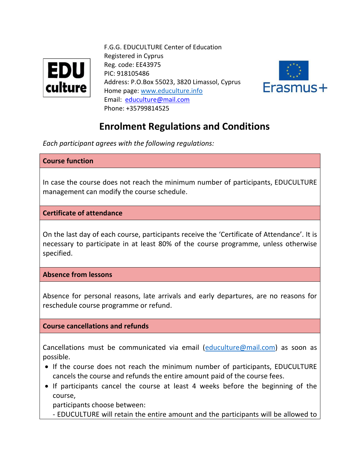

 F.G.G. EDUCULTURE Center of Education Registered in Cyprus Reg. code: EE43975  $EDU$  Reg. code: EE43  $\text{Culture}$  Address: P.O.Box 55023, 3820 Limassol, Cyprus Home page: [www.educulture.info](http://www.educulture.info/) Email: [educulture@mail.com](mailto:educulture@mail.com) Phone: +35799814525



# **Enrolment Regulations and Conditions**

*Each participant agrees with the following regulations:* 

### **Course function**

In case the course does not reach the minimum number of participants, EDUCULTURE management can modify the course schedule.

**Certificate of attendance**

On the last day of each course, participants receive the 'Certificate of Attendance'. It is necessary to participate in at least 80% of the course programme, unless otherwise specified.

**Absence from lessons**

Absence for personal reasons, late arrivals and early departures, are no reasons for reschedule course programme or refund.

### **Course cancellations and refunds**

Cancellations must be communicated via email [\(educulture@mail.com\)](mailto:educulture@mail.com) as soon as possible.

- If the course does not reach the minimum number of participants, EDUCULTURE cancels the course and refunds the entire amount paid of the course fees.
- If participants cancel the course at least 4 weeks before the beginning of the course,

participants choose between:

- EDUCULTURE will retain the entire amount and the participants will be allowed to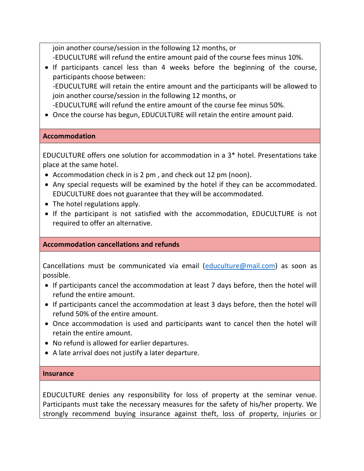join another course/session in the following 12 months, or -EDUCULTURE will refund the entire amount paid of the course fees minus 10%.

- If participants cancel less than 4 weeks before the beginning of the course, participants choose between: -EDUCULTURE will retain the entire amount and the participants will be allowed to join another course/session in the following 12 months, or
- -EDUCULTURE will refund the entire amount of the course fee minus 50%.
- Once the course has begun, EDUCULTURE will retain the entire amount paid.

## **Accommodation**

EDUCULTURE offers one solution for accommodation in a 3\* hotel. Presentations take place at the same hotel.

- Accommodation check in is 2 pm, and check out 12 pm (noon).
- Any special requests will be examined by the hotel if they can be accommodated. EDUCULTURE does not guarantee that they will be accommodated.
- The hotel regulations apply.
- If the participant is not satisfied with the accommodation, EDUCULTURE is not required to offer an alternative.

## **Accommodation cancellations and refunds**

Cancellations must be communicated via email [\(educulture@mail.com\)](mailto:educulture@mail.com) as soon as possible.

- If participants cancel the accommodation at least 7 days before, then the hotel will refund the entire amount.
- If participants cancel the accommodation at least 3 days before, then the hotel will refund 50% of the entire amount.
- Once accommodation is used and participants want to cancel then the hotel will retain the entire amount.
- No refund is allowed for earlier departures.
- A late arrival does not justify a later departure.

### **Insurance**

EDUCULTURE denies any responsibility for loss of property at the seminar venue. Participants must take the necessary measures for the safety of his/her property. We strongly recommend buying insurance against theft, loss of property, injuries or